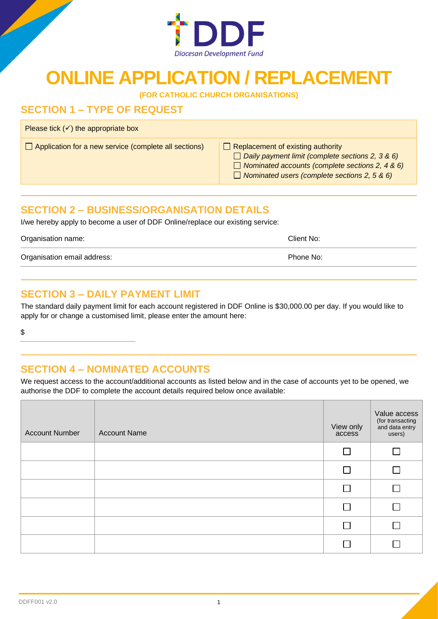

## **ONLINE APPLICATION / REPLACEMENT**

**(FOR CATHOLIC CHURCH ORGANISATIONS)**

## **SECTION 1 – TYPE OF REQUEST**

Please tick  $(√)$  the appropriate box

 $\Box$  Application for a new service (complete all sections)  $\Box$  Replacement of existing authority

- 
- *Daily payment limit (complete sections 2, 3 & 6)*
	- *Nominated accounts (complete sections 2, 4 & 6)*
	- *Nominated users (complete sections 2, 5 & 6)*

## **SECTION 2 – BUSINESS/ORGANISATION DETAILS**

I/we hereby apply to become a user of DDF Online/replace our existing service:

Organisation name: Client No:

Organisation email address: Phone No:

## **SECTION 3 – DAILY PAYMENT LIMIT**

The standard daily payment limit for each account registered in DDF Online is \$30,000.00 per day. If you would like to apply for or change a customised limit, please enter the amount here:

\$

## **SECTION 4 – NOMINATED ACCOUNTS**

We request access to the account/additional accounts as listed below and in the case of accounts yet to be opened, we authorise the DDF to complete the account details required below once available:

| <b>Account Number</b> | <b>Account Name</b> | View only<br>access | Value access<br>(for transacting<br>and data entry<br>users) |
|-----------------------|---------------------|---------------------|--------------------------------------------------------------|
|                       |                     |                     |                                                              |
|                       |                     |                     | $\sim$                                                       |
|                       |                     |                     |                                                              |
|                       |                     |                     | $\blacksquare$                                               |
|                       |                     |                     | <b>College</b>                                               |
|                       |                     |                     |                                                              |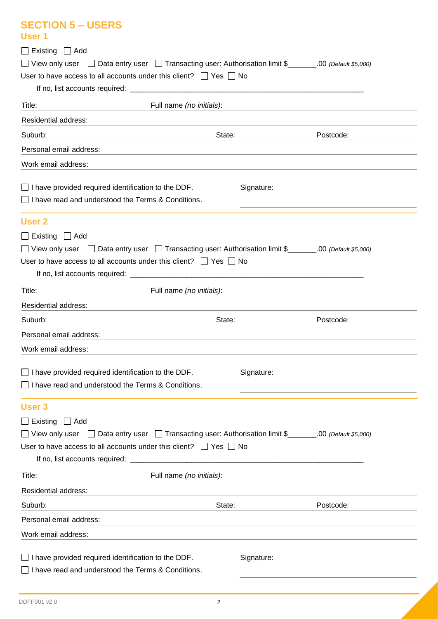| <b>SECTION 5 - USERS</b><br>User 1                                                                                                                |                                                               |           |
|---------------------------------------------------------------------------------------------------------------------------------------------------|---------------------------------------------------------------|-----------|
|                                                                                                                                                   |                                                               |           |
| $\Box$ Existing $\Box$ Add<br>□ View only user □ Data entry user □ Transacting user: Authorisation limit \$_______.00 (Default \$5,000)           |                                                               |           |
| User to have access to all accounts under this client? $\Box$ Yes $\Box$ No                                                                       |                                                               |           |
|                                                                                                                                                   |                                                               |           |
| Title:<br>Full name (no initials):<br>$\overline{\phantom{a}}$ . The contract of $\overline{\phantom{a}}$                                         | <u> 1980 - Andrea Stadt Britain, amerikansk politik (</u>     |           |
| <b>Residential address:</b>                                                                                                                       |                                                               |           |
| State:<br>Suburb:                                                                                                                                 |                                                               | Postcode: |
| Personal email address:<br>,我们也不会有什么。""我们的人,我们也不会有什么?""我们的人,我们也不会有什么?""我们的人,我们也不会有什么?""我们的人,我们也不会有什么?""我们的人                                       |                                                               |           |
| Work email address:                                                                                                                               |                                                               |           |
| $\Box$ I have provided required identification to the DDF.<br>$\Box$ I have read and understood the Terms & Conditions.                           | Signature:                                                    |           |
| <b>User 2</b>                                                                                                                                     |                                                               |           |
| $\Box$ Existing $\Box$ Add                                                                                                                        |                                                               |           |
| □ View only user □ Data entry user □ Transacting user: Authorisation limit \$_______.00 (Default \$5,000)                                         |                                                               |           |
| User to have access to all accounts under this client? $\Box$ Yes $\Box$ No                                                                       |                                                               |           |
|                                                                                                                                                   |                                                               |           |
| Title:<br>Full name (no initials):                                                                                                                |                                                               |           |
|                                                                                                                                                   |                                                               |           |
| Residential address:                                                                                                                              |                                                               |           |
| Suburb:<br>State:                                                                                                                                 |                                                               | Postcode: |
| Personal email address:                                                                                                                           |                                                               |           |
| Work email address:                                                                                                                               |                                                               |           |
| $\Box$ I have provided required identification to the DDF.<br>$\Box$ I have read and understood the Terms & Conditions.                           | Signature:                                                    |           |
| <b>User 3</b>                                                                                                                                     |                                                               |           |
|                                                                                                                                                   |                                                               |           |
| $\Box$ Existing $\Box$ Add<br>◯ View only user $\Box$ Data entry user $\Box$ Transacting user: Authorisation limit \$_______.00 (Default \$5,000) |                                                               |           |
| User to have access to all accounts under this client? $\Box$ Yes $\Box$ No                                                                       |                                                               |           |
|                                                                                                                                                   |                                                               |           |
| Full name (no initials):<br>Title:                                                                                                                |                                                               |           |
| Residential address:                                                                                                                              | <u> 1980 - Johann Barn, mars an t-Amerikaansk politiker (</u> |           |
| Suburb:<br>State:                                                                                                                                 |                                                               | Postcode: |
| Personal email address:                                                                                                                           |                                                               |           |
| Work email address:                                                                                                                               |                                                               |           |
|                                                                                                                                                   |                                                               |           |
| I have provided required identification to the DDF.<br>I have read and understood the Terms & Conditions.                                         | Signature:                                                    |           |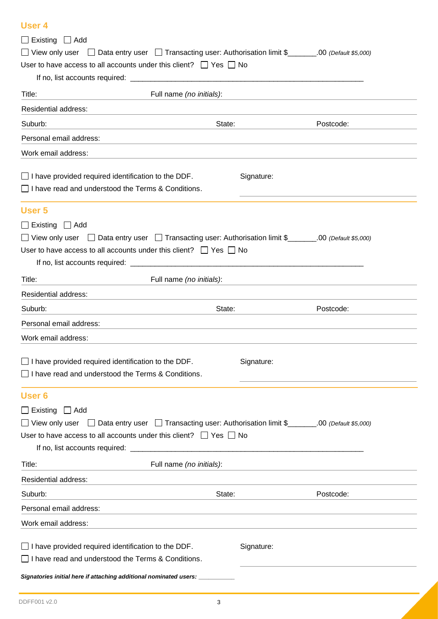#### **User 4**

| $\Box$ Existing $\Box$ Add                                                                                                                                                                      |                                                           |                                                                                                                       |           |  |
|-------------------------------------------------------------------------------------------------------------------------------------------------------------------------------------------------|-----------------------------------------------------------|-----------------------------------------------------------------------------------------------------------------------|-----------|--|
| □ View only user □ Data entry user □ Transacting user: Authorisation limit \$_______.00 (Default \$5,000)                                                                                       |                                                           |                                                                                                                       |           |  |
| User to have access to all accounts under this client? $\Box$ Yes $\Box$ No                                                                                                                     |                                                           |                                                                                                                       |           |  |
|                                                                                                                                                                                                 |                                                           |                                                                                                                       |           |  |
| Title:                                                                                                                                                                                          | Full name (no initials):                                  |                                                                                                                       |           |  |
| Residential address:                                                                                                                                                                            |                                                           |                                                                                                                       |           |  |
| Suburb:                                                                                                                                                                                         | State:                                                    |                                                                                                                       | Postcode: |  |
| Personal email address:                                                                                                                                                                         |                                                           |                                                                                                                       |           |  |
| Work email address:                                                                                                                                                                             |                                                           |                                                                                                                       |           |  |
| $\Box$ I have provided required identification to the DDF.<br>$\Box$ I have read and understood the Terms & Conditions.                                                                         |                                                           | Signature:                                                                                                            |           |  |
| User 5                                                                                                                                                                                          |                                                           |                                                                                                                       |           |  |
| $\Box$ Existing $\Box$ Add                                                                                                                                                                      |                                                           |                                                                                                                       |           |  |
| □ View only user □ Data entry user □ Transacting user: Authorisation limit \$_______.00 (Default \$5,000)                                                                                       |                                                           |                                                                                                                       |           |  |
| User to have access to all accounts under this client? $\Box$ Yes $\Box$ No                                                                                                                     |                                                           |                                                                                                                       |           |  |
|                                                                                                                                                                                                 |                                                           |                                                                                                                       |           |  |
| Title:                                                                                                                                                                                          | Full name (no initials):                                  | <u> 1980 - Jan Sterling von Berling von Berling von Berling von Berling von Berling von Berling von Berling von B</u> |           |  |
| Residential address:                                                                                                                                                                            | <u> 1980 - Johann Barbara, martin amerikan personal (</u> |                                                                                                                       |           |  |
| Suburb:                                                                                                                                                                                         | State:                                                    |                                                                                                                       | Postcode: |  |
| Personal email address:                                                                                                                                                                         |                                                           |                                                                                                                       |           |  |
| Work email address:                                                                                                                                                                             |                                                           |                                                                                                                       |           |  |
|                                                                                                                                                                                                 |                                                           |                                                                                                                       |           |  |
| $\Box$ I have provided required identification to the DDF.                                                                                                                                      |                                                           | Signature:                                                                                                            |           |  |
| $\Box$ I have read and understood the Terms & Conditions.                                                                                                                                       |                                                           |                                                                                                                       |           |  |
| User <sub>6</sub>                                                                                                                                                                               |                                                           |                                                                                                                       |           |  |
| $\Box$ Existing $\Box$ Add                                                                                                                                                                      |                                                           |                                                                                                                       |           |  |
| View only user $\Box$ Data entry user $\Box$ Transacting user: Authorisation limit \$ ______.00 (Default \$5,000)                                                                               |                                                           |                                                                                                                       |           |  |
| User to have access to all accounts under this client? $\Box$ Yes $\Box$ No                                                                                                                     |                                                           |                                                                                                                       |           |  |
|                                                                                                                                                                                                 |                                                           |                                                                                                                       |           |  |
| Title:                                                                                                                                                                                          | Full name (no initials):                                  |                                                                                                                       |           |  |
| Residential address:                                                                                                                                                                            |                                                           |                                                                                                                       |           |  |
| Suburb:                                                                                                                                                                                         | State:                                                    |                                                                                                                       | Postcode: |  |
| Personal email address:                                                                                                                                                                         |                                                           |                                                                                                                       |           |  |
| Work email address:                                                                                                                                                                             |                                                           |                                                                                                                       |           |  |
| $\Box$ I have provided required identification to the DDF.<br>I have read and understood the Terms & Conditions.<br>Signatories initial here if attaching additional nominated users: _________ |                                                           | Signature:                                                                                                            |           |  |
|                                                                                                                                                                                                 |                                                           |                                                                                                                       |           |  |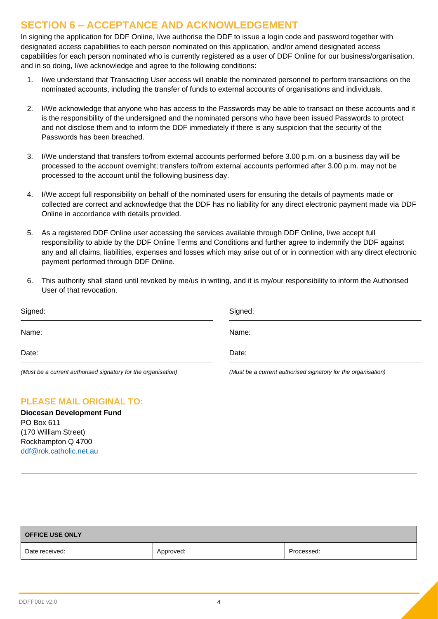## **SECTION 6 – ACCEPTANCE AND ACKNOWLEDGEMENT**

In signing the application for DDF Online, I/we authorise the DDF to issue a login code and password together with designated access capabilities to each person nominated on this application, and/or amend designated access capabilities for each person nominated who is currently registered as a user of DDF Online for our business/organisation, and in so doing, I/we acknowledge and agree to the following conditions:

- 1. I/we understand that Transacting User access will enable the nominated personnel to perform transactions on the nominated accounts, including the transfer of funds to external accounts of organisations and individuals.
- 2. I/We acknowledge that anyone who has access to the Passwords may be able to transact on these accounts and it is the responsibility of the undersigned and the nominated persons who have been issued Passwords to protect and not disclose them and to inform the DDF immediately if there is any suspicion that the security of the Passwords has been breached.
- 3. I/We understand that transfers to/from external accounts performed before 3.00 p.m. on a business day will be processed to the account overnight; transfers to/from external accounts performed after 3.00 p.m. may not be processed to the account until the following business day.
- 4. I/We accept full responsibility on behalf of the nominated users for ensuring the details of payments made or collected are correct and acknowledge that the DDF has no liability for any direct electronic payment made via DDF Online in accordance with details provided.
- 5. As a registered DDF Online user accessing the services available through DDF Online, I/we accept full responsibility to abide by the DDF Online Terms and Conditions and further agree to indemnify the DDF against any and all claims, liabilities, expenses and losses which may arise out of or in connection with any direct electronic payment performed through DDF Online.
- 6. This authority shall stand until revoked by me/us in writing, and it is my/our responsibility to inform the Authorised User of that revocation.

| Signed:                                                       | Signed:                                                       |
|---------------------------------------------------------------|---------------------------------------------------------------|
| Name:                                                         | Name:                                                         |
| Date:                                                         | Date:                                                         |
| (Must be a current authorised signatory for the organisation) | (Must be a current authorised signatory for the organisation) |

#### **PLEASE MAIL ORIGINAL TO:**

**Diocesan Development Fund** PO Box 611 (170 William Street) Rockhampton Q 4700 [ddf@rok.catholic.net.au](mailto:ddf@rok.catholic.net.au)

| <b>OFFICE USE ONLY</b> |           |            |  |  |
|------------------------|-----------|------------|--|--|
| Date received:         | Approved: | Processed: |  |  |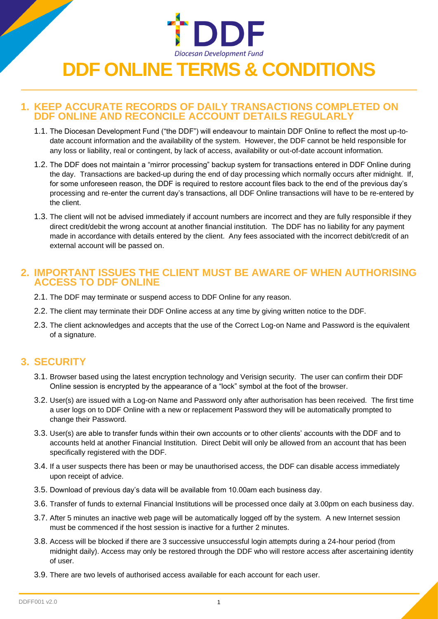# Diocesan Development Fund **DDF ONLINE TERMS & CONDITIONS**

#### **1. KEEP ACCURATE RECORDS OF DAILY TRANSACTIONS COMPLETED ON DDF ONLINE AND RECONCILE ACCOUNT DETAILS REGULARLY**

- 1.1. The Diocesan Development Fund ("the DDF") will endeavour to maintain DDF Online to reflect the most up-todate account information and the availability of the system. However, the DDF cannot be held responsible for any loss or liability, real or contingent, by lack of access, availability or out-of-date account information.
- 1.2. The DDF does not maintain a "mirror processing" backup system for transactions entered in DDF Online during the day. Transactions are backed-up during the end of day processing which normally occurs after midnight. If, for some unforeseen reason, the DDF is required to restore account files back to the end of the previous day's processing and re-enter the current day's transactions, all DDF Online transactions will have to be re-entered by the client.
- 1.3. The client will not be advised immediately if account numbers are incorrect and they are fully responsible if they direct credit/debit the wrong account at another financial institution. The DDF has no liability for any payment made in accordance with details entered by the client. Any fees associated with the incorrect debit/credit of an external account will be passed on.

#### **2. IMPORTANT ISSUES THE CLIENT MUST BE AWARE OF WHEN AUTHORISING ACCESS TO DDF ONLINE**

- 2.1. The DDF may terminate or suspend access to DDF Online for any reason.
- 2.2. The client may terminate their DDF Online access at any time by giving written notice to the DDF.
- 2.3. The client acknowledges and accepts that the use of the Correct Log-on Name and Password is the equivalent of a signature.

## **3. SECURITY**

- 3.1. Browser based using the latest encryption technology and Verisign security. The user can confirm their DDF Online session is encrypted by the appearance of a "lock" symbol at the foot of the browser.
- 3.2. User(s) are issued with a Log-on Name and Password only after authorisation has been received. The first time a user logs on to DDF Online with a new or replacement Password they will be automatically prompted to change their Password.
- 3.3. User(s) are able to transfer funds within their own accounts or to other clients' accounts with the DDF and to accounts held at another Financial Institution. Direct Debit will only be allowed from an account that has been specifically registered with the DDF.
- 3.4. If a user suspects there has been or may be unauthorised access, the DDF can disable access immediately upon receipt of advice.
- 3.5. Download of previous day's data will be available from 10.00am each business day.
- 3.6. Transfer of funds to external Financial Institutions will be processed once daily at 3.00pm on each business day.
- 3.7. After 5 minutes an inactive web page will be automatically logged off by the system. A new Internet session must be commenced if the host session is inactive for a further 2 minutes.
- 3.8. Access will be blocked if there are 3 successive unsuccessful login attempts during a 24-hour period (from midnight daily). Access may only be restored through the DDF who will restore access after ascertaining identity of user.
- 3.9. There are two levels of authorised access available for each account for each user.